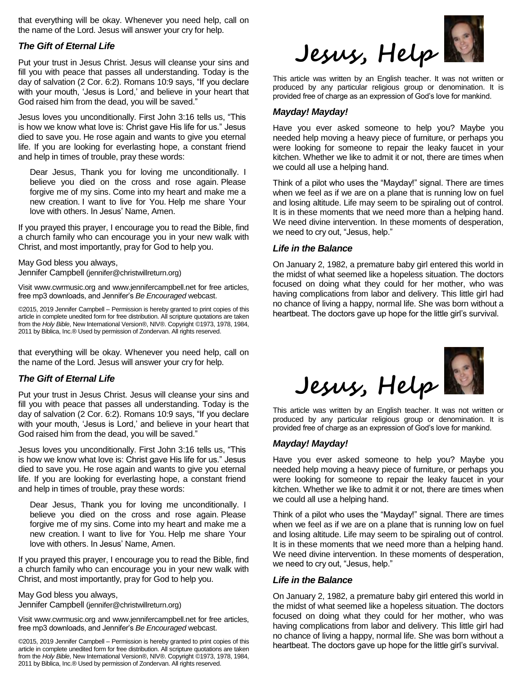that everything will be okay. Whenever you need help, call on the name of the Lord. Jesus will answer your cry for help.

# *The Gift of Eternal Life*

Put your trust in Jesus Christ. Jesus will cleanse your sins and fill you with peace that passes all understanding. Today is the day of salvation (2 Cor. 6:2). Romans 10:9 says, "If you declare with your mouth, 'Jesus is Lord,' and believe in your heart that God raised him from the dead, you will be saved."

Jesus loves you unconditionally. First John 3:16 tells us, "This is how we know what love is: Christ gave His life for us." Jesus died to save you. He rose again and wants to give you eternal life. If you are looking for everlasting hope, a constant friend and help in times of trouble, pray these words:

Dear Jesus, Thank you for loving me unconditionally. I believe you died on the cross and rose again. Please forgive me of my sins. Come into my heart and make me a new creation. I want to live for You. Help me share Your love with others. In Jesus' Name, Amen.

If you prayed this prayer, I encourage you to read the Bible, find a church family who can encourage you in your new walk with Christ, and most importantly, pray for God to help you.

May God bless you always, Jennifer Campbell (jennifer@christwillreturn.org)

Visit www.cwrmusic.org and www.jennifercampbell.net for free articles, free mp3 downloads, and Jennifer's *Be Encouraged* webcast.

©2015, 2019 Jennifer Campbell – Permission is hereby granted to print copies of this article in complete unedited form for free distribution. All scripture quotations are taken from the *Holy Bible*, New International Version®, NIV®. Copyright ©1973, 1978, 1984, 2011 by Biblica, Inc.® Used by permission of Zondervan. All rights reserved.

that everything will be okay. Whenever you need help, call on the name of the Lord. Jesus will answer your cry for help.

# *The Gift of Eternal Life*

Put your trust in Jesus Christ. Jesus will cleanse your sins and fill you with peace that passes all understanding. Today is the day of salvation (2 Cor. 6:2). Romans 10:9 says, "If you declare with your mouth, 'Jesus is Lord,' and believe in your heart that God raised him from the dead, you will be saved."

Jesus loves you unconditionally. First John 3:16 tells us, "This is how we know what love is: Christ gave His life for us." Jesus died to save you. He rose again and wants to give you eternal life. If you are looking for everlasting hope, a constant friend and help in times of trouble, pray these words:

Dear Jesus, Thank you for loving me unconditionally. I believe you died on the cross and rose again. Please forgive me of my sins. Come into my heart and make me a new creation. I want to live for You. Help me share Your love with others. In Jesus' Name, Amen.

If you prayed this prayer, I encourage you to read the Bible, find a church family who can encourage you in your new walk with Christ, and most importantly, pray for God to help you.

May God bless you always, Jennifer Campbell (jennifer@christwillreturn.org)

Visit www.cwrmusic.org and www.jennifercampbell.net for free articles, free mp3 downloads, and Jennifer's *Be Encouraged* webcast.

©2015, 2019 Jennifer Campbell – Permission is hereby granted to print copies of this article in complete unedited form for free distribution. All scripture quotations are taken from the *Holy Bible*, New International Version®, NIV®. Copyright ©1973, 1978, 1984, 2011 by Biblica, Inc.® Used by permission of Zondervan. All rights reserved.



This article was written by an English teacher. It was not written or produced by any particular religious group or denomination. It is provided free of charge as an expression of God's love for mankind.

#### *Mayday! Mayday!*

Have you ever asked someone to help you? Maybe you needed help moving a heavy piece of furniture, or perhaps you were looking for someone to repair the leaky faucet in your kitchen. Whether we like to admit it or not, there are times when we could all use a helping hand.

Think of a pilot who uses the "Mayday!" signal. There are times when we feel as if we are on a plane that is running low on fuel and losing altitude. Life may seem to be spiraling out of control. It is in these moments that we need more than a helping hand. We need divine intervention. In these moments of desperation, we need to cry out, "Jesus, help."

# *Life in the Balance*

On January 2, 1982, a premature baby girl entered this world in the midst of what seemed like a hopeless situation. The doctors focused on doing what they could for her mother, who was having complications from labor and delivery. This little girl had no chance of living a happy, normal life. She was born without a heartbeat. The doctors gave up hope for the little girl's survival.



This article was written by an English teacher. It was not written or produced by any particular religious group or denomination. It is provided free of charge as an expression of God's love for mankind.

### *Mayday! Mayday!*

Have you ever asked someone to help you? Maybe you needed help moving a heavy piece of furniture, or perhaps you were looking for someone to repair the leaky faucet in your kitchen. Whether we like to admit it or not, there are times when we could all use a helping hand.

Think of a pilot who uses the "Mayday!" signal. There are times when we feel as if we are on a plane that is running low on fuel and losing altitude. Life may seem to be spiraling out of control. It is in these moments that we need more than a helping hand. We need divine intervention. In these moments of desperation, we need to cry out, "Jesus, help."

### *Life in the Balance*

On January 2, 1982, a premature baby girl entered this world in the midst of what seemed like a hopeless situation. The doctors focused on doing what they could for her mother, who was having complications from labor and delivery. This little girl had no chance of living a happy, normal life. She was born without a heartbeat. The doctors gave up hope for the little girl's survival.